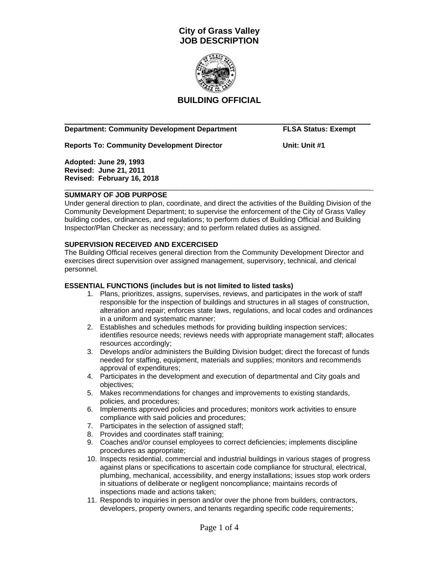

## **BUILDING OFFICIAL**

 $\overline{\phantom{a}}$  ,  $\overline{\phantom{a}}$  ,  $\overline{\phantom{a}}$  ,  $\overline{\phantom{a}}$  ,  $\overline{\phantom{a}}$  ,  $\overline{\phantom{a}}$  ,  $\overline{\phantom{a}}$  ,  $\overline{\phantom{a}}$  ,  $\overline{\phantom{a}}$  ,  $\overline{\phantom{a}}$  ,  $\overline{\phantom{a}}$  ,  $\overline{\phantom{a}}$  ,  $\overline{\phantom{a}}$  ,  $\overline{\phantom{a}}$  ,  $\overline{\phantom{a}}$  ,  $\overline{\phantom{a}}$ 

### **Department: Community Development Department FLSA Status: Exempt**

**Reports To: Community Development Director Consumer Superior Consumer System Consumer System Interior Consumer System Interior Consumer System Interior Consumer System Interior Consumer System Interior Consumer System Int** 

**Adopted: June 29, 1993 Revised: June 21, 2011 Revised: February 16, 2018** \_\_\_\_\_\_\_\_\_\_\_\_\_\_\_\_\_\_\_\_\_\_\_\_\_\_\_\_\_\_\_\_\_\_\_\_\_\_\_\_\_\_\_\_\_\_\_\_\_\_\_\_\_\_\_\_\_\_\_\_\_\_\_\_\_\_\_\_\_\_\_\_\_\_\_\_\_

### **SUMMARY OF JOB PURPOSE**

Under general direction to plan, coordinate, and direct the activities of the Building Division of the Community Development Department; to supervise the enforcement of the City of Grass Valley building codes, ordinances, and regulations; to perform duties of Building Official and Building Inspector/Plan Checker as necessary; and to perform related duties as assigned.

### **SUPERVISION RECEIVED AND EXCERCISED**

The Building Official receives general direction from the Community Development Director and exercises direct supervision over assigned management, supervisory, technical, and clerical personnel.

### **ESSENTIAL FUNCTIONS (includes but is not limited to listed tasks)**

- 1. Plans, prioritizes, assigns, supervises, reviews, and participates in the work of staff responsible for the inspection of buildings and structures in all stages of construction, alteration and repair; enforces state laws, regulations, and local codes and ordinances in a uniform and systematic manner;
- 2. Establishes and schedules methods for providing building inspection services; identifies resource needs; reviews needs with appropriate management staff; allocates resources accordingly;
- 3. Develops and/or administers the Building Division budget; direct the forecast of funds needed for staffing, equipment, materials and supplies; monitors and recommends approval of expenditures;
- 4. Participates in the development and execution of departmental and City goals and objectives;
- 5. Makes recommendations for changes and improvements to existing standards, policies, and procedures;
- 6. Implements approved policies and procedures; monitors work activities to ensure compliance with said policies and procedures;
- 7. Participates in the selection of assigned staff;
- 8. Provides and coordinates staff training;
- 9. Coaches and/or counsel employees to correct deficiencies; implements discipline procedures as appropriate;
- 10. Inspects residential, commercial and industrial buildings in various stages of progress against plans or specifications to ascertain code compliance for structural, electrical, plumbing, mechanical, accessibility, and energy installations; issues stop work orders in situations of deliberate or negligent noncompliance; maintains records of inspections made and actions taken;
- 11. Responds to inquiries in person and/or over the phone from builders, contractors, developers, property owners, and tenants regarding specific code requirements;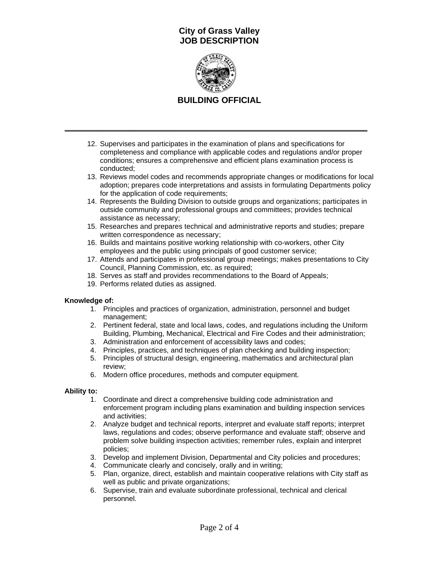

# **BUILDING OFFICIAL**

**\_\_\_\_\_\_\_\_\_\_\_\_\_\_\_\_\_\_\_\_\_\_\_\_\_\_\_\_\_\_\_\_\_\_\_\_\_\_\_\_\_\_\_\_\_\_\_\_\_\_\_\_\_\_\_\_\_\_\_\_\_\_\_\_\_\_\_\_\_\_\_\_\_\_\_\_**

- 12. Supervises and participates in the examination of plans and specifications for completeness and compliance with applicable codes and regulations and/or proper conditions; ensures a comprehensive and efficient plans examination process is conducted;
- 13. Reviews model codes and recommends appropriate changes or modifications for local adoption; prepares code interpretations and assists in formulating Departments policy for the application of code requirements;
- 14. Represents the Building Division to outside groups and organizations; participates in outside community and professional groups and committees; provides technical assistance as necessary;
- 15. Researches and prepares technical and administrative reports and studies; prepare written correspondence as necessary;
- 16. Builds and maintains positive working relationship with co-workers, other City employees and the public using principals of good customer service;
- 17. Attends and participates in professional group meetings; makes presentations to City Council, Planning Commission, etc. as required;
- 18. Serves as staff and provides recommendations to the Board of Appeals;
- 19. Performs related duties as assigned.

## **Knowledge of:**

- 1. Principles and practices of organization, administration, personnel and budget management;
- 2. Pertinent federal, state and local laws, codes, and regulations including the Uniform Building, Plumbing, Mechanical, Electrical and Fire Codes and their administration;
- 3. Administration and enforcement of accessibility laws and codes;
- 4. Principles, practices, and techniques of plan checking and building inspection;
- 5. Principles of structural design, engineering, mathematics and architectural plan review;
- 6. Modern office procedures, methods and computer equipment.

### **Ability to:**

- 1. Coordinate and direct a comprehensive building code administration and enforcement program including plans examination and building inspection services and activities;
- 2. Analyze budget and technical reports, interpret and evaluate staff reports; interpret laws, regulations and codes; observe performance and evaluate staff; observe and problem solve building inspection activities; remember rules, explain and interpret policies;
- 3. Develop and implement Division, Departmental and City policies and procedures;
- 4. Communicate clearly and concisely, orally and in writing;
- 5. Plan, organize, direct, establish and maintain cooperative relations with City staff as well as public and private organizations;
- 6. Supervise, train and evaluate subordinate professional, technical and clerical personnel.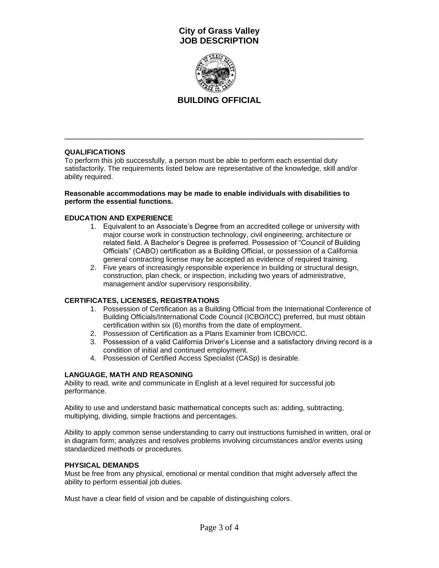

# **BUILDING OFFICIAL**

## **QUALIFICATIONS**

To perform this job successfully, a person must be able to perform each essential duty satisfactorily. The requirements listed below are representative of the knowledge, skill and/or ability required.

\_\_\_\_\_\_\_\_\_\_\_\_\_\_\_\_\_\_\_\_\_\_\_\_\_\_\_\_\_\_\_\_\_\_\_\_\_\_\_\_\_\_\_\_\_\_\_\_\_\_\_\_\_\_\_\_\_\_\_\_\_\_\_\_\_\_\_\_\_\_\_\_\_\_\_

#### **Reasonable accommodations may be made to enable individuals with disabilities to perform the essential functions.**

### **EDUCATION AND EXPERIENCE**

- 1. Equivalent to an Associate's Degree from an accredited college or university with major course work in construction technology, civil engineering, architecture or related field. A Bachelor's Degree is preferred. Possession of "Council of Building Officials" (CABO) certification as a Building Official, or possession of a California general contracting license may be accepted as evidence of required training.
- 2. Five years of increasingly responsible experience in building or structural design, construction, plan check, or inspection, including two years of administrative, management and/or supervisory responsibility.

### **CERTIFICATES, LICENSES, REGISTRATIONS**

- 1. Possession of Certification as a Building Official from the International Conference of Building Officials/International Code Council (ICBO/ICC) preferred, but must obtain certification within six (6) months from the date of employment.
- 2. Possession of Certification as a Plans Examiner from ICBO/ICC.
- 3. Possession of a valid California Driver's License and a satisfactory driving record is a condition of initial and continued employment.
- 4. Possession of Certified Access Specialist (CASp) is desirable.

## **LANGUAGE, MATH AND REASONING**

Ability to read, write and communicate in English at a level required for successful job performance.

Ability to use and understand basic mathematical concepts such as: adding, subtracting, multiplying, dividing, simple fractions and percentages.

Ability to apply common sense understanding to carry out instructions furnished in written, oral or in diagram form; analyzes and resolves problems involving circumstances and/or events using standardized methods or procedures.

### **PHYSICAL DEMANDS**

Must be free from any physical, emotional or mental condition that might adversely affect the ability to perform essential job duties.

Must have a clear field of vision and be capable of distinguishing colors.